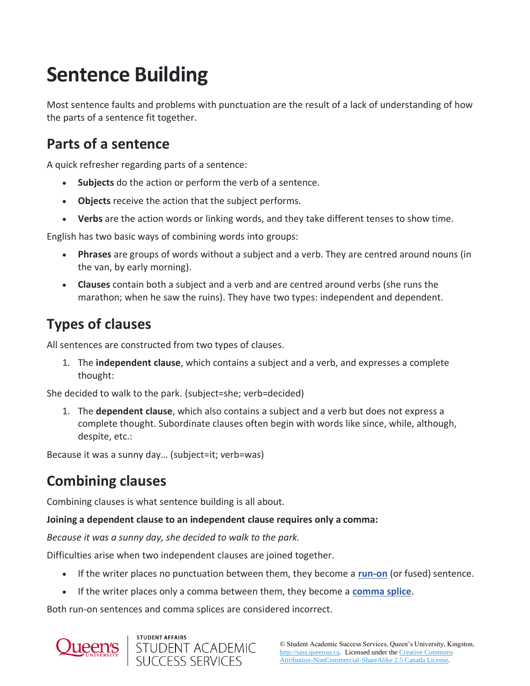# **Sentence Building**

Most sentence faults and problems with punctuation are the result of a lack of understanding of how the parts of a sentence fit together.

#### **Parts of a sentence**

A quick refresher regarding parts of a sentence:

- **Subjects** do the action or perform the verb of a sentence.
- **Objects** receive the action that the subject performs.
- **Verbs** are the action words or linking words, and they take different tenses to show time.

English has two basic ways of combining words into groups:

- **Phrases** are groups of words without a subject and a verb. They are centred around nouns (in the van, by early morning).
- **Clauses** contain both a subject and a verb and are centred around verbs (she runs the marathon; when he saw the ruins). They have two types: independent and dependent.

## **Types of clauses**

All sentences are constructed from two types of clauses.

1. The **independent clause**, which contains a subject and a verb, and expresses a complete thought:

She decided to walk to the park. (subject=she; verb=decided)

1. The **dependent clause**, which also contains a subject and a verb but does not express a complete thought. Subordinate clauses often begin with words like since, while, although, despite, etc.:

Because it was a sunny day… (subject=it; verb=was)

### **Combining clauses**

Combining clauses is what sentence building is all about.

#### **Joining a dependent clause to an independent clause requires only a comma:**

*Because it was a sunny day, she decided to walk to the park.*

Difficulties arise when two independent clauses are joined together.

- If the writer places no punctuation between them, they become a **[run-on](http://sass.queensu.ca/onlineresource/topics/fragments-comma-splices-and-run-ons/)** (or fused) sentence.
- If the writer places only a comma between them, they become a **[comma splice](http://sass.queensu.ca/onlineresource/topics/fragments-comma-splices-and-run-ons/)**.

Both run-on sentences and comma splices are considered incorrect.